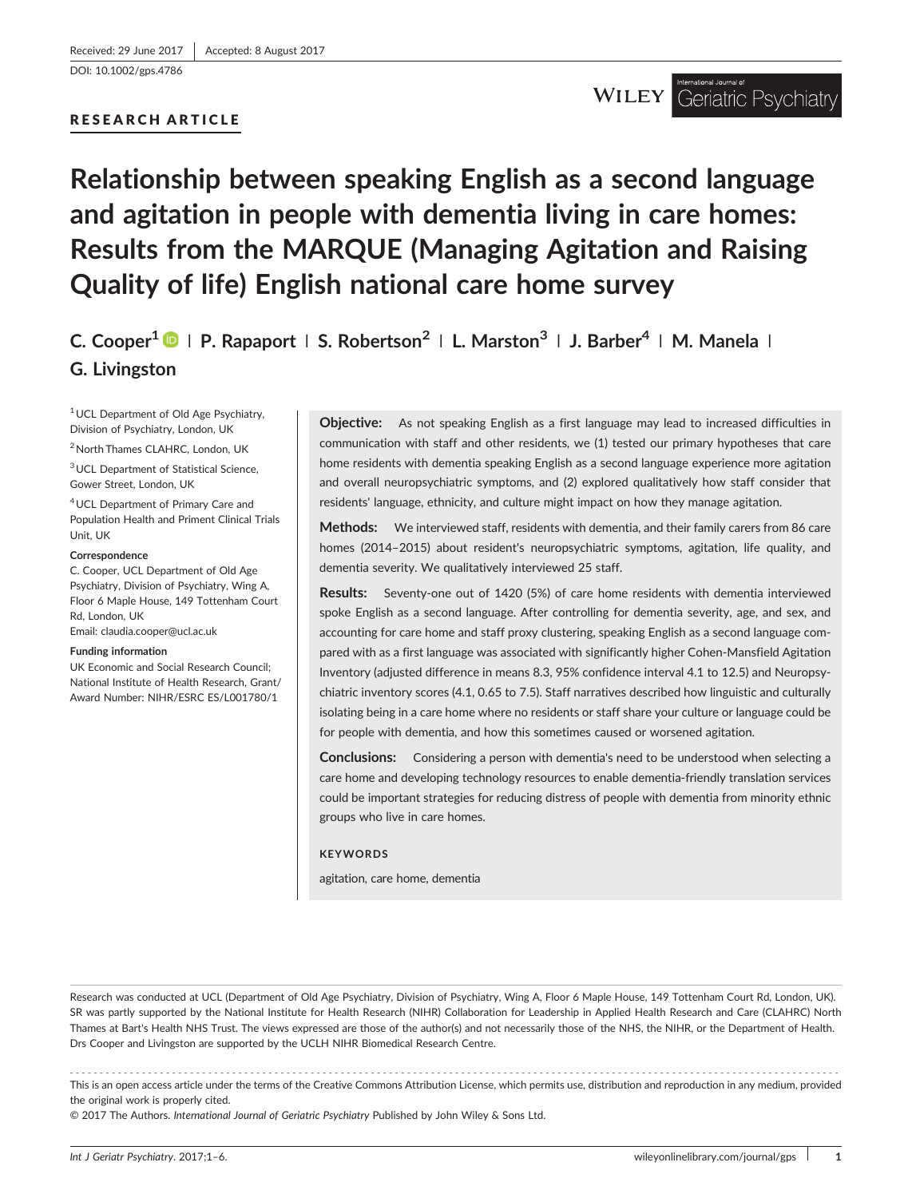[DOI: 10.1002/gps.4786](https://doi.org/10.1002/gps.4786)

## RESEARCH ARTICLE

## Relationship between speaking English as a second language and agitation in people with dementia living in care homes: Results from the MARQUE (Managing Agitation and Raising Quality of life) English national care home survey

C. Cooper<sup>1</sup>  $\bullet$  | P. Rapaport | S. Robertson<sup>2</sup> | L. Marston<sup>3</sup> | J. Barber<sup>4</sup> | M. Manela | G. Livingston

1UCL Department of Old Age Psychiatry, Division of Psychiatry, London, UK

2North Thames CLAHRC, London, UK

3UCL Department of Statistical Science, Gower Street, London, UK

4UCL Department of Primary Care and Population Health and Priment Clinical Trials Unit, UK

#### Correspondence

C. Cooper, UCL Department of Old Age Psychiatry, Division of Psychiatry, Wing A, Floor 6 Maple House, 149 Tottenham Court Rd, London, UK

Email: [claudia.cooper@ucl.ac.uk](mailto:claudia.cooper@ucl.ac.uk)

#### Funding information

UK Economic and Social Research Council; National Institute of Health Research, Grant/ Award Number: NIHR/ESRC ES/L001780/1

**Objective:** As not speaking English as a first language may lead to increased difficulties in communication with staff and other residents, we (1) tested our primary hypotheses that care home residents with dementia speaking English as a second language experience more agitation and overall neuropsychiatric symptoms, and (2) explored qualitatively how staff consider that residents' language, ethnicity, and culture might impact on how they manage agitation.

Methods: We interviewed staff, residents with dementia, and their family carers from 86 care homes (2014–2015) about resident's neuropsychiatric symptoms, agitation, life quality, and dementia severity. We qualitatively interviewed 25 staff.

Results: Seventy-one out of 1420 (5%) of care home residents with dementia interviewed spoke English as a second language. After controlling for dementia severity, age, and sex, and accounting for care home and staff proxy clustering, speaking English as a second language compared with as a first language was associated with significantly higher Cohen‐Mansfield Agitation Inventory (adjusted difference in means 8.3, 95% confidence interval 4.1 to 12.5) and Neuropsychiatric inventory scores (4.1, 0.65 to 7.5). Staff narratives described how linguistic and culturally isolating being in a care home where no residents or staff share your culture or language could be for people with dementia, and how this sometimes caused or worsened agitation.

Conclusions: Considering a person with dementia's need to be understood when selecting a care home and developing technology resources to enable dementia‐friendly translation services could be important strategies for reducing distress of people with dementia from minority ethnic groups who live in care homes.

#### **KEYWORDS**

agitation, care home, dementia

Research was conducted at UCL (Department of Old Age Psychiatry, Division of Psychiatry, Wing A, Floor 6 Maple House, 149 Tottenham Court Rd, London, UK). SR was partly supported by the National Institute for Health Research (NIHR) Collaboration for Leadership in Applied Health Research and Care (CLAHRC) North Thames at Bart's Health NHS Trust. The views expressed are those of the author(s) and not necessarily those of the NHS, the NIHR, or the Department of Health. Drs Cooper and Livingston are supported by the UCLH NIHR Biomedical Research Centre.

------------------------------------------------------------------------------------------------------------------------------- - This is an open access article under the terms of the [Creative Commons Attribution](http://creativecommons.org/licenses/by/4.0/) License, which permits use, distribution and reproduction in any medium, provided the original work is properly cited.

© 2017 The Authors. International Journal of Geriatric Psychiatry Published by John Wiley & Sons Ltd.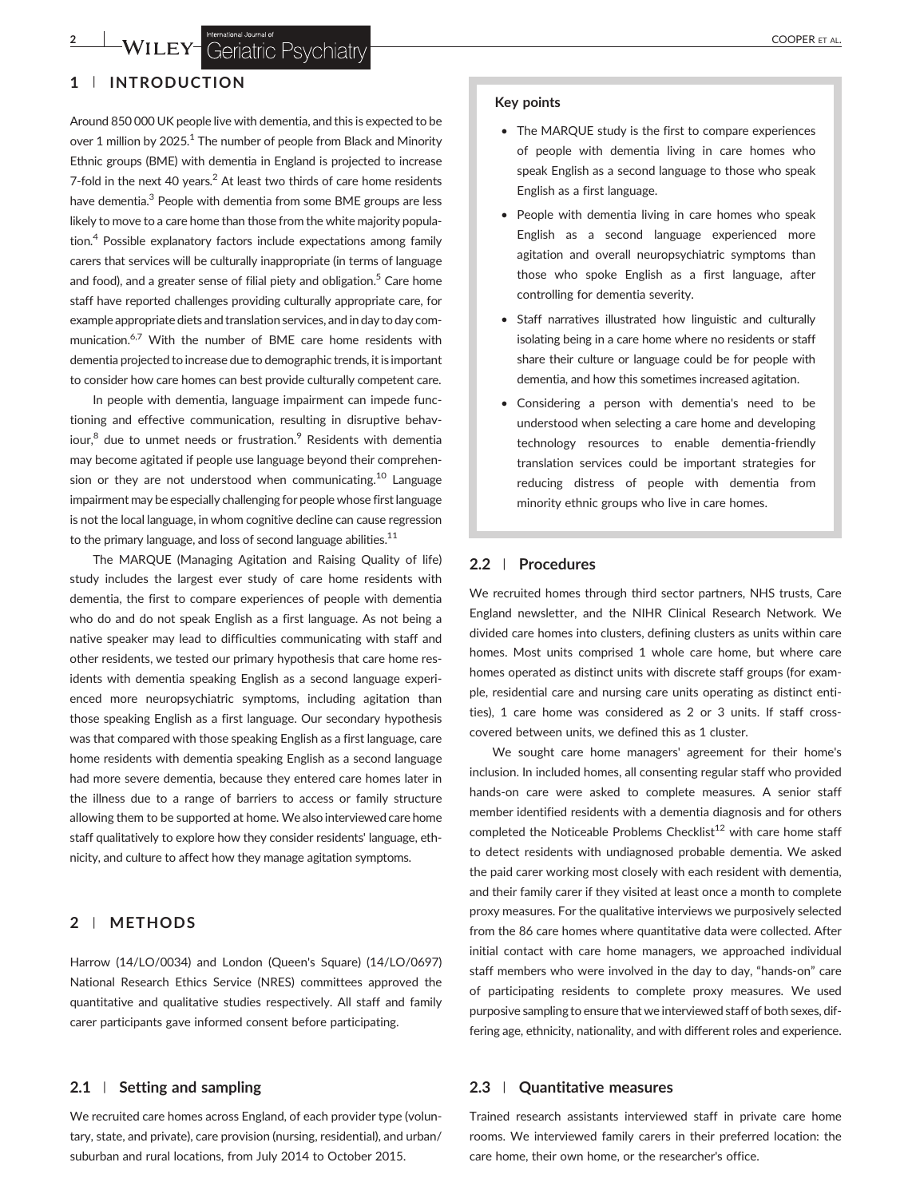# <sup>2</sup> WILEY-Geriational Journal of COOPER ET AL.

## 1 | INTRODUCTION

Around 850 000 UK people live with dementia, and this is expected to be over 1 million by  $2025$ <sup>1</sup> The number of people from Black and Minority Ethnic groups (BME) with dementia in England is projected to increase 7-fold in the next 40 years.<sup>2</sup> At least two thirds of care home residents have dementia.<sup>3</sup> People with dementia from some BME groups are less likely to move to a care home than those from the white majority population. $4$  Possible explanatory factors include expectations among family carers that services will be culturally inappropriate (in terms of language and food), and a greater sense of filial piety and obligation.<sup>5</sup> Care home staff have reported challenges providing culturally appropriate care, for example appropriate diets and translation services, and in day to day communication.<sup>6,7</sup> With the number of BME care home residents with dementia projected to increase due to demographic trends, it is important to consider how care homes can best provide culturally competent care.

In people with dementia, language impairment can impede functioning and effective communication, resulting in disruptive behaviour, $8$  due to unmet needs or frustration. $9$  Residents with dementia may become agitated if people use language beyond their comprehension or they are not understood when communicating.<sup>10</sup> Language impairment may be especially challenging for people whose first language is not the local language, in whom cognitive decline can cause regression to the primary language, and loss of second language abilities. $11$ 

The MARQUE (Managing Agitation and Raising Quality of life) study includes the largest ever study of care home residents with dementia, the first to compare experiences of people with dementia who do and do not speak English as a first language. As not being a native speaker may lead to difficulties communicating with staff and other residents, we tested our primary hypothesis that care home residents with dementia speaking English as a second language experienced more neuropsychiatric symptoms, including agitation than those speaking English as a first language. Our secondary hypothesis was that compared with those speaking English as a first language, care home residents with dementia speaking English as a second language had more severe dementia, because they entered care homes later in the illness due to a range of barriers to access or family structure allowing them to be supported at home. We also interviewed care home staff qualitatively to explore how they consider residents' language, ethnicity, and culture to affect how they manage agitation symptoms.

## 2 | METHODS

Harrow (14/LO/0034) and London (Queen's Square) (14/LO/0697) National Research Ethics Service (NRES) committees approved the quantitative and qualitative studies respectively. All staff and family carer participants gave informed consent before participating.

#### 2.1 | Setting and sampling

We recruited care homes across England, of each provider type (voluntary, state, and private), care provision (nursing, residential), and urban/ suburban and rural locations, from July 2014 to October 2015.

#### Key points

- The MARQUE study is the first to compare experiences of people with dementia living in care homes who speak English as a second language to those who speak English as a first language.
- People with dementia living in care homes who speak English as a second language experienced more agitation and overall neuropsychiatric symptoms than those who spoke English as a first language, after controlling for dementia severity.
- Staff narratives illustrated how linguistic and culturally isolating being in a care home where no residents or staff share their culture or language could be for people with dementia, and how this sometimes increased agitation.
- Considering a person with dementia's need to be understood when selecting a care home and developing technology resources to enable dementia‐friendly translation services could be important strategies for reducing distress of people with dementia from minority ethnic groups who live in care homes.

## 2.2 | Procedures

We recruited homes through third sector partners, NHS trusts, Care England newsletter, and the NIHR Clinical Research Network. We divided care homes into clusters, defining clusters as units within care homes. Most units comprised 1 whole care home, but where care homes operated as distinct units with discrete staff groups (for example, residential care and nursing care units operating as distinct entities), 1 care home was considered as 2 or 3 units. If staff cross‐ covered between units, we defined this as 1 cluster.

We sought care home managers' agreement for their home's inclusion. In included homes, all consenting regular staff who provided hands‐on care were asked to complete measures. A senior staff member identified residents with a dementia diagnosis and for others completed the Noticeable Problems Checklist<sup>12</sup> with care home staff to detect residents with undiagnosed probable dementia. We asked the paid carer working most closely with each resident with dementia, and their family carer if they visited at least once a month to complete proxy measures. For the qualitative interviews we purposively selected from the 86 care homes where quantitative data were collected. After initial contact with care home managers, we approached individual staff members who were involved in the day to day, "hands‐on" care of participating residents to complete proxy measures. We used purposive sampling to ensure that we interviewed staff of both sexes, differing age, ethnicity, nationality, and with different roles and experience.

#### 2.3 | Quantitative measures

Trained research assistants interviewed staff in private care home rooms. We interviewed family carers in their preferred location: the care home, their own home, or the researcher's office.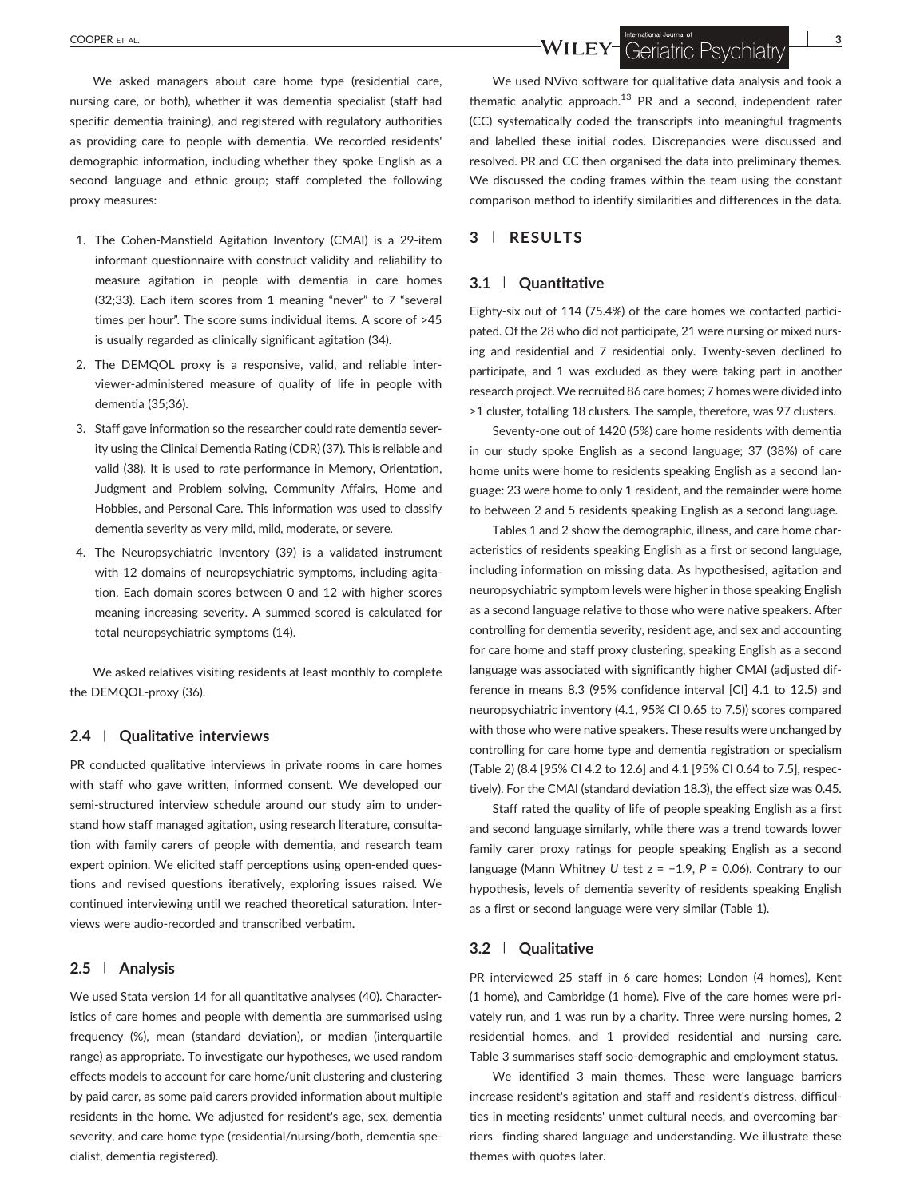We asked managers about care home type (residential care, nursing care, or both), whether it was dementia specialist (staff had specific dementia training), and registered with regulatory authorities as providing care to people with dementia. We recorded residents' demographic information, including whether they spoke English as a second language and ethnic group; staff completed the following proxy measures:

- 1. The Cohen‐Mansfield Agitation Inventory (CMAI) is a 29‐item informant questionnaire with construct validity and reliability to measure agitation in people with dementia in care homes (32;33). Each item scores from 1 meaning "never" to 7 "several times per hour". The score sums individual items. A score of >45 is usually regarded as clinically significant agitation (34).
- 2. The DEMQOL proxy is a responsive, valid, and reliable interviewer‐administered measure of quality of life in people with dementia (35;36).
- 3. Staff gave information so the researcher could rate dementia severity using the Clinical Dementia Rating (CDR) (37). This is reliable and valid (38). It is used to rate performance in Memory, Orientation, Judgment and Problem solving, Community Affairs, Home and Hobbies, and Personal Care. This information was used to classify dementia severity as very mild, mild, moderate, or severe.
- 4. The Neuropsychiatric Inventory (39) is a validated instrument with 12 domains of neuropsychiatric symptoms, including agitation. Each domain scores between 0 and 12 with higher scores meaning increasing severity. A summed scored is calculated for total neuropsychiatric symptoms (14).

We asked relatives visiting residents at least monthly to complete the DEMQOL‐proxy (36).

#### 2.4 | Qualitative interviews

PR conducted qualitative interviews in private rooms in care homes with staff who gave written, informed consent. We developed our semi-structured interview schedule around our study aim to understand how staff managed agitation, using research literature, consultation with family carers of people with dementia, and research team expert opinion. We elicited staff perceptions using open-ended questions and revised questions iteratively, exploring issues raised. We continued interviewing until we reached theoretical saturation. Interviews were audio‐recorded and transcribed verbatim.

## 2.5 | Analysis

We used Stata version 14 for all quantitative analyses (40). Characteristics of care homes and people with dementia are summarised using frequency (%), mean (standard deviation), or median (interquartile range) as appropriate. To investigate our hypotheses, we used random effects models to account for care home/unit clustering and clustering by paid carer, as some paid carers provided information about multiple residents in the home. We adjusted for resident's age, sex, dementia severity, and care home type (residential/nursing/both, dementia specialist, dementia registered).

We used NVivo software for qualitative data analysis and took a thematic analytic approach.<sup>13</sup> PR and a second, independent rater (CC) systematically coded the transcripts into meaningful fragments and labelled these initial codes. Discrepancies were discussed and resolved. PR and CC then organised the data into preliminary themes. We discussed the coding frames within the team using the constant comparison method to identify similarities and differences in the data.

## 3 | RESULTS

#### 3.1 | Quantitative

Eighty-six out of 114 (75.4%) of the care homes we contacted participated. Of the 28 who did not participate, 21 were nursing or mixed nursing and residential and 7 residential only. Twenty‐seven declined to participate, and 1 was excluded as they were taking part in another research project.We recruited 86 care homes; 7 homes were divided into >1 cluster, totalling 18 clusters. The sample, therefore, was 97 clusters.

Seventy-one out of 1420 (5%) care home residents with dementia in our study spoke English as a second language; 37 (38%) of care home units were home to residents speaking English as a second language: 23 were home to only 1 resident, and the remainder were home to between 2 and 5 residents speaking English as a second language.

Tables 1 and 2 show the demographic, illness, and care home characteristics of residents speaking English as a first or second language, including information on missing data. As hypothesised, agitation and neuropsychiatric symptom levels were higher in those speaking English as a second language relative to those who were native speakers. After controlling for dementia severity, resident age, and sex and accounting for care home and staff proxy clustering, speaking English as a second language was associated with significantly higher CMAI (adjusted difference in means 8.3 (95% confidence interval [CI] 4.1 to 12.5) and neuropsychiatric inventory (4.1, 95% CI 0.65 to 7.5)) scores compared with those who were native speakers. These results were unchanged by controlling for care home type and dementia registration or specialism (Table 2) (8.4 [95% CI 4.2 to 12.6] and 4.1 [95% CI 0.64 to 7.5], respectively). For the CMAI (standard deviation 18.3), the effect size was 0.45.

Staff rated the quality of life of people speaking English as a first and second language similarly, while there was a trend towards lower family carer proxy ratings for people speaking English as a second language (Mann Whitney U test z = −1.9, P = 0.06). Contrary to our hypothesis, levels of dementia severity of residents speaking English as a first or second language were very similar (Table 1).

#### 3.2 | Qualitative

PR interviewed 25 staff in 6 care homes; London (4 homes), Kent (1 home), and Cambridge (1 home). Five of the care homes were privately run, and 1 was run by a charity. Three were nursing homes, 2 residential homes, and 1 provided residential and nursing care. Table 3 summarises staff socio‐demographic and employment status.

We identified 3 main themes. These were language barriers increase resident's agitation and staff and resident's distress, difficulties in meeting residents' unmet cultural needs, and overcoming barriers—finding shared language and understanding. We illustrate these themes with quotes later.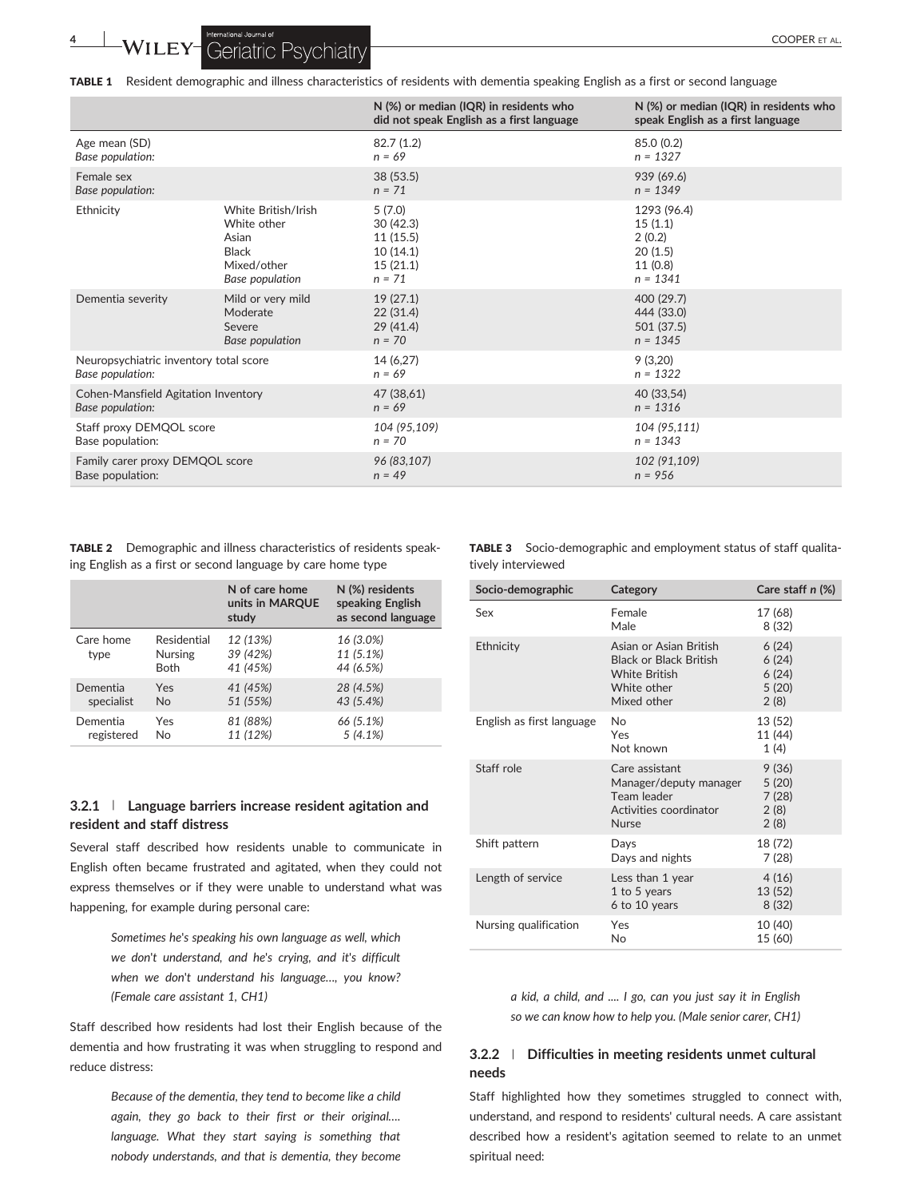TABLE 1 Resident demographic and illness characteristics of residents with dementia speaking English as a first or second language

|                                        |                     | N (%) or median (IQR) in residents who<br>did not speak English as a first language | N (%) or median (IQR) in residents who<br>speak English as a first language |
|----------------------------------------|---------------------|-------------------------------------------------------------------------------------|-----------------------------------------------------------------------------|
| Age mean (SD)                          |                     | 82.7(1.2)                                                                           | 85.0 (0.2)                                                                  |
| Base population:                       |                     | $n = 69$                                                                            | $n = 1327$                                                                  |
| Female sex                             |                     | 38(53.5)                                                                            | 939 (69.6)                                                                  |
| Base population:                       |                     | $n = 71$                                                                            | $n = 1349$                                                                  |
| Ethnicity                              | White British/Irish | 5(7.0)                                                                              | 1293 (96.4)                                                                 |
|                                        | White other         | 30(42.3)                                                                            | 15(1.1)                                                                     |
|                                        | Asian               | 11 (15.5)                                                                           | 2(0.2)                                                                      |
|                                        | <b>Black</b>        | 10(14.1)                                                                            | 20(1.5)                                                                     |
|                                        | Mixed/other         | 15(21.1)                                                                            | 11(0.8)                                                                     |
|                                        | Base population     | $n = 71$                                                                            | $n = 1341$                                                                  |
| Dementia severity                      | Mild or very mild   | 19(27.1)                                                                            | 400 (29.7)                                                                  |
|                                        | Moderate            | 22(31.4)                                                                            | 444 (33.0)                                                                  |
|                                        | Severe              | 29(41.4)                                                                            | 501 (37.5)                                                                  |
|                                        | Base population     | $n = 70$                                                                            | $n = 1345$                                                                  |
| Neuropsychiatric inventory total score |                     | 14 (6,27)                                                                           | 9(3,20)                                                                     |
| Base population:                       |                     | $n = 69$                                                                            | $n = 1322$                                                                  |
| Cohen-Mansfield Agitation Inventory    |                     | 47 (38,61)                                                                          | 40 (33,54)                                                                  |
| Base population:                       |                     | $n = 69$                                                                            | $n = 1316$                                                                  |
| Staff proxy DEMQOL score               |                     | 104 (95,109)                                                                        | 104 (95,111)                                                                |
| Base population:                       |                     | $n = 70$                                                                            | $n = 1343$                                                                  |
| Family carer proxy DEMQOL score        |                     | 96 (83,107)                                                                         | 102 (91,109)                                                                |
| Base population:                       |                     | $n = 49$                                                                            | $n = 956$                                                                   |

TABLE 2 Demographic and illness characteristics of residents speaking English as a first or second language by care home type

|                   |                                              | N of care home<br>units in MARQUE<br>study | N (%) residents<br>speaking English<br>as second language |
|-------------------|----------------------------------------------|--------------------------------------------|-----------------------------------------------------------|
| Care home<br>type | Residential<br><b>Nursing</b><br><b>Both</b> | 12 (13%)<br>39 (42%)<br>41 (45%)           | 16 (3.0%)<br>11 (5.1%)<br>44 (6.5%)                       |
| Dementia          | Yes                                          | 41 (45%)                                   | 28 (4.5%)                                                 |
| specialist        | <b>No</b>                                    | 51 (55%)                                   | 43 (5.4%)                                                 |
| Dementia          | Yes                                          | 81 (88%)                                   | 66 (5.1%)                                                 |
| registered        | No                                           | 11 (12%)                                   | 5(4.1%)                                                   |

## 3.2.1 | Language barriers increase resident agitation and resident and staff distress

Several staff described how residents unable to communicate in English often became frustrated and agitated, when they could not express themselves or if they were unable to understand what was happening, for example during personal care:

> Sometimes he's speaking his own language as well, which we don't understand, and he's crying, and it's difficult when we don't understand his language…, you know? (Female care assistant 1, CH1)

Staff described how residents had lost their English because of the dementia and how frustrating it was when struggling to respond and reduce distress:

> Because of the dementia, they tend to become like a child again, they go back to their first or their original…. language. What they start saying is something that nobody understands, and that is dementia, they become

TABLE 3 Socio-demographic and employment status of staff qualitatively interviewed

| Socio-demographic         | Category                                                                                                      | Care staff $n$ $(\%)$                    |
|---------------------------|---------------------------------------------------------------------------------------------------------------|------------------------------------------|
| Sex                       | Female<br>Male                                                                                                | 17 (68)<br>8 (32)                        |
| Ethnicity                 | Asian or Asian British<br><b>Black or Black British</b><br><b>White British</b><br>White other<br>Mixed other | 6(24)<br>6(24)<br>6(24)<br>5(20)<br>2(8) |
| English as first language | No<br>Yes<br>Not known                                                                                        | 13 (52)<br>11 (44)<br>1(4)               |
| Staff role                | Care assistant<br>Manager/deputy manager<br>Team leader<br>Activities coordinator<br><b>Nurse</b>             | 9(36)<br>5(20)<br>7(28)<br>2(8)<br>2(8)  |
| Shift pattern             | Days<br>Days and nights                                                                                       | 18 (72)<br>7(28)                         |
| Length of service         | Less than 1 year<br>1 to 5 years<br>6 to 10 years                                                             | 4(16)<br>13 (52)<br>8(32)                |
| Nursing qualification     | Yes<br><b>No</b>                                                                                              | 10 (40)<br>15 (60)                       |

a kid, a child, and .... I go, can you just say it in English so we can know how to help you. (Male senior carer, CH1)

## 3.2.2 | Difficulties in meeting residents unmet cultural needs

Staff highlighted how they sometimes struggled to connect with, understand, and respond to residents' cultural needs. A care assistant described how a resident's agitation seemed to relate to an unmet spiritual need: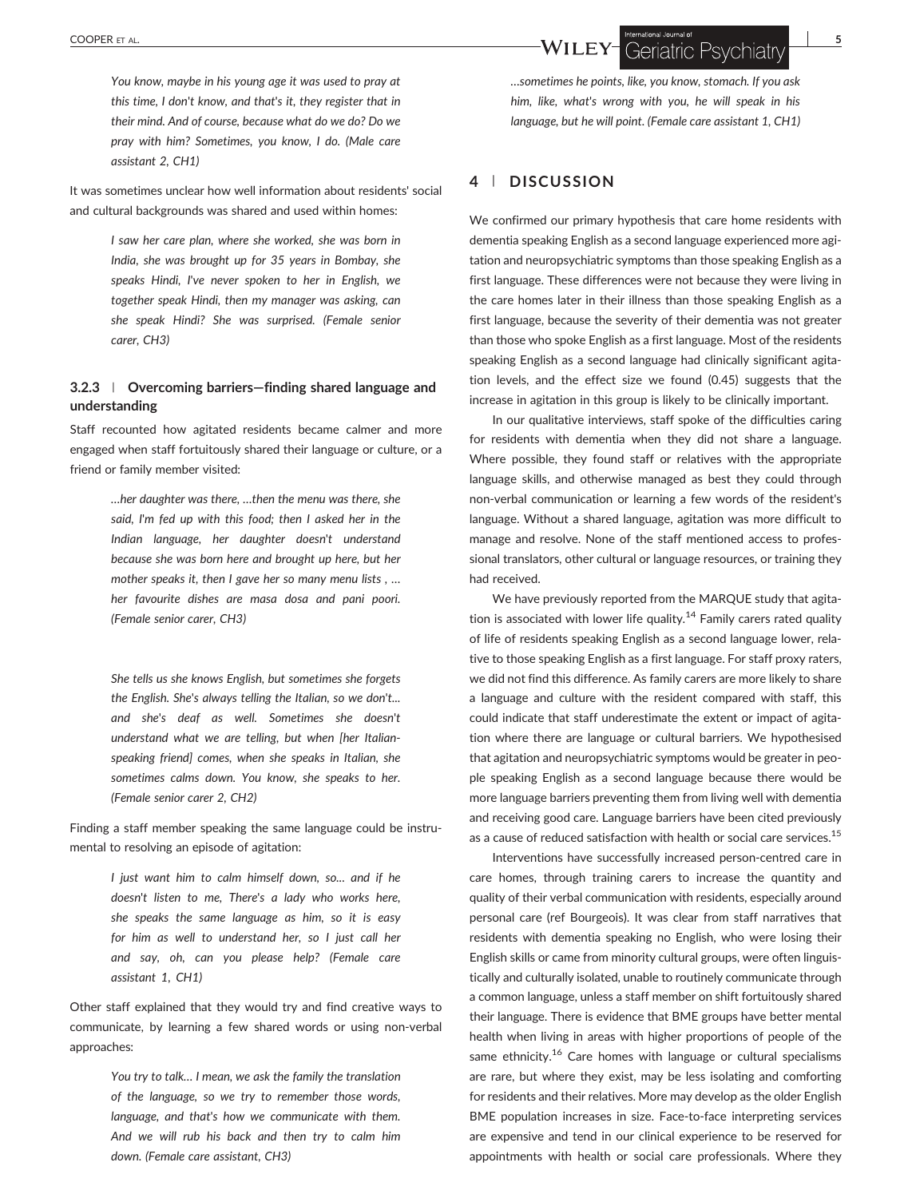You know, maybe in his young age it was used to pray at this time, I don't know, and that's it, they register that in their mind. And of course, because what do we do? Do we pray with him? Sometimes, you know, I do. (Male care assistant 2, CH1)

It was sometimes unclear how well information about residents' social and cultural backgrounds was shared and used within homes:

> I saw her care plan, where she worked, she was born in India, she was brought up for 35 years in Bombay, she speaks Hindi, I've never spoken to her in English, we together speak Hindi, then my manager was asking, can she speak Hindi? She was surprised. (Female senior carer, CH3)

## 3.2.3 | Overcoming barriers—finding shared language and understanding

Staff recounted how agitated residents became calmer and more engaged when staff fortuitously shared their language or culture, or a friend or family member visited:

> …her daughter was there, …then the menu was there, she said, I'm fed up with this food; then I asked her in the Indian language, her daughter doesn't understand because she was born here and brought up here, but her mother speaks it, then I gave her so many menu lists , … her favourite dishes are masa dosa and pani poori. (Female senior carer, CH3)

> She tells us she knows English, but sometimes she forgets the English. She's always telling the Italian, so we don't... and she's deaf as well. Sometimes she doesn't understand what we are telling, but when [her Italian‐ speaking friend] comes, when she speaks in Italian, she sometimes calms down. You know, she speaks to her. (Female senior carer 2, CH2)

Finding a staff member speaking the same language could be instrumental to resolving an episode of agitation:

> I just want him to calm himself down, so... and if he doesn't listen to me, There's a lady who works here, she speaks the same language as him, so it is easy for him as well to understand her, so I just call her and say, oh, can you please help? (Female care assistant 1, CH1)

Other staff explained that they would try and find creative ways to communicate, by learning a few shared words or using non‐verbal approaches:

> You try to talk… I mean, we ask the family the translation of the language, so we try to remember those words, language, and that's how we communicate with them. And we will rub his back and then try to calm him down. (Female care assistant, CH3)

…sometimes he points, like, you know, stomach. If you ask him, like, what's wrong with you, he will speak in his language, but he will point. (Female care assistant 1, CH1)

## 4 | DISCUSSION

We confirmed our primary hypothesis that care home residents with dementia speaking English as a second language experienced more agitation and neuropsychiatric symptoms than those speaking English as a first language. These differences were not because they were living in the care homes later in their illness than those speaking English as a first language, because the severity of their dementia was not greater than those who spoke English as a first language. Most of the residents speaking English as a second language had clinically significant agitation levels, and the effect size we found (0.45) suggests that the increase in agitation in this group is likely to be clinically important.

In our qualitative interviews, staff spoke of the difficulties caring for residents with dementia when they did not share a language. Where possible, they found staff or relatives with the appropriate language skills, and otherwise managed as best they could through non‐verbal communication or learning a few words of the resident's language. Without a shared language, agitation was more difficult to manage and resolve. None of the staff mentioned access to professional translators, other cultural or language resources, or training they had received.

We have previously reported from the MARQUE study that agitation is associated with lower life quality.<sup>14</sup> Family carers rated quality of life of residents speaking English as a second language lower, relative to those speaking English as a first language. For staff proxy raters, we did not find this difference. As family carers are more likely to share a language and culture with the resident compared with staff, this could indicate that staff underestimate the extent or impact of agitation where there are language or cultural barriers. We hypothesised that agitation and neuropsychiatric symptoms would be greater in people speaking English as a second language because there would be more language barriers preventing them from living well with dementia and receiving good care. Language barriers have been cited previously as a cause of reduced satisfaction with health or social care services.<sup>15</sup>

Interventions have successfully increased person‐centred care in care homes, through training carers to increase the quantity and quality of their verbal communication with residents, especially around personal care (ref Bourgeois). It was clear from staff narratives that residents with dementia speaking no English, who were losing their English skills or came from minority cultural groups, were often linguistically and culturally isolated, unable to routinely communicate through a common language, unless a staff member on shift fortuitously shared their language. There is evidence that BME groups have better mental health when living in areas with higher proportions of people of the same ethnicity.<sup>16</sup> Care homes with language or cultural specialisms are rare, but where they exist, may be less isolating and comforting for residents and their relatives. More may develop as the older English BME population increases in size. Face-to-face interpreting services are expensive and tend in our clinical experience to be reserved for appointments with health or social care professionals. Where they